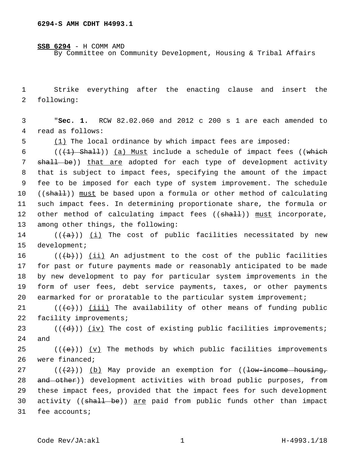**SSB 6294** - H COMM AMD By Committee on Community Development, Housing & Tribal Affairs

1 Strike everything after the enacting clause and insert the 2 following:

3 "**Sec. 1.** RCW 82.02.060 and 2012 c 200 s 1 are each amended to 4 read as follows:

5 (1) The local ordinance by which impact fees are imposed:

6 ( $($  ( $($   $+1)$   $Sha11$ ))  $(a)$  Must include a schedule of impact fees ((which 7 shall be)) that are adopted for each type of development activity 8 that is subject to impact fees, specifying the amount of the impact 9 fee to be imposed for each type of system improvement. The schedule 10 ((shall)) must be based upon a formula or other method of calculating 11 such impact fees. In determining proportionate share, the formula or 12 other method of calculating impact fees ((shall)) must incorporate, 13 among other things, the following:

14  $((+a))$   $(i)$  The cost of public facilities necessitated by new 15 development;

 $((+b))$  (ii) An adjustment to the cost of the public facilities for past or future payments made or reasonably anticipated to be made by new development to pay for particular system improvements in the form of user fees, debt service payments, taxes, or other payments earmarked for or proratable to the particular system improvement;

 $21$  (( $\left( +e+ \right)$ ) (iii) The availability of other means of funding public 22 facility improvements;

 $23$  (( $\left(\frac{d}{d}\right)$ ) (iv) The cost of existing public facilities improvements; 24 and

 $25$  (( $\left( +e^{2}\right)$ ) (v) The methods by which public facilities improvements 26 were financed;

27 ( $(\frac{2}{2})$ ) (b) May provide an exemption for ((<del>low-income housing,</del> 28 and other)) development activities with broad public purposes, from 29 these impact fees, provided that the impact fees for such development 30 activity ((shall be)) are paid from public funds other than impact 31 fee accounts;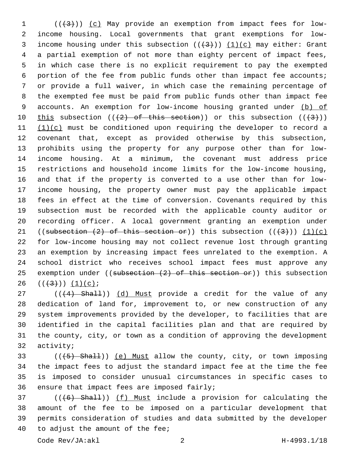1 (( $(3)$ )) (c) May provide an exemption from impact fees for low- income housing. Local governments that grant exemptions for low-3 income housing under this subsection  $((+3))$   $(1)(c)$  may either: Grant a partial exemption of not more than eighty percent of impact fees, in which case there is no explicit requirement to pay the exempted portion of the fee from public funds other than impact fee accounts; or provide a full waiver, in which case the remaining percentage of the exempted fee must be paid from public funds other than impact fee 9 accounts. An exemption for low-income housing granted under (b) of 10 this subsection  $((2)$  of this section)) or this subsection  $((43))$  $(1)(c)$  must be conditioned upon requiring the developer to record a covenant that, except as provided otherwise by this subsection, prohibits using the property for any purpose other than for low- income housing. At a minimum, the covenant must address price restrictions and household income limits for the low-income housing, and that if the property is converted to a use other than for low- income housing, the property owner must pay the applicable impact fees in effect at the time of conversion. Covenants required by this subsection must be recorded with the applicable county auditor or recording officer. A local government granting an exemption under 21 ((subsection  $(2)$  of this section or)) this subsection  $((+3))$   $(1)(c)$  for low-income housing may not collect revenue lost through granting an exemption by increasing impact fees unrelated to the exemption. A school district who receives school impact fees must approve any 25 exemption under ((subsection  $(2)$  of this section or)) this subsection  $((+3))$   $(1)(c)$ ;

27 (((4) Shall)) (d) Must provide a credit for the value of any dedication of land for, improvement to, or new construction of any system improvements provided by the developer, to facilities that are identified in the capital facilities plan and that are required by the county, city, or town as a condition of approving the development 32 activity;

33 (((+5) Shall)) (e) Must allow the county, city, or town imposing the impact fees to adjust the standard impact fee at the time the fee is imposed to consider unusual circumstances in specific cases to 36 ensure that impact fees are imposed fairly;

37 (((6) Shall)) (f) Must include a provision for calculating the amount of the fee to be imposed on a particular development that permits consideration of studies and data submitted by the developer 40 to adjust the amount of the fee;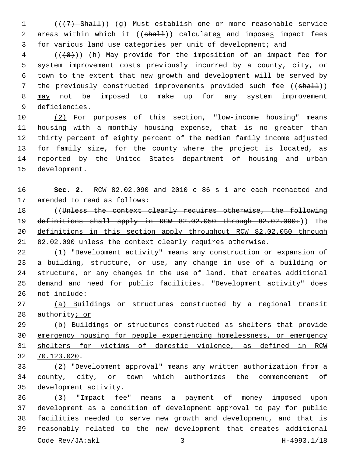(((7) Shall)) (g) Must establish one or more reasonable service 2 areas within which it ((shall)) calculates and imposes impact fees for various land use categories per unit of development; and

 (( $(48)$ )) (h) May provide for the imposition of an impact fee for system improvement costs previously incurred by a county, city, or town to the extent that new growth and development will be served by 7 the previously constructed improvements provided such fee ((shall)) may not be imposed to make up for any system improvement 9 deficiencies.

 (2) For purposes of this section, "low-income housing" means housing with a monthly housing expense, that is no greater than thirty percent of eighty percent of the median family income adjusted for family size, for the county where the project is located, as reported by the United States department of housing and urban 15 development.

 **Sec. 2.** RCW 82.02.090 and 2010 c 86 s 1 are each reenacted and 17 amended to read as follows:

 ((Unless the context clearly requires otherwise, the following 19 definitions shall apply in RCW 82.02.050 through 82.02.090:)) The definitions in this section apply throughout RCW 82.02.050 through 82.02.090 unless the context clearly requires otherwise.

 (1) "Development activity" means any construction or expansion of a building, structure, or use, any change in use of a building or structure, or any changes in the use of land, that creates additional demand and need for public facilities. "Development activity" does not include:

 (a) Buildings or structures constructed by a regional transit 28 authority; or

 (b) Buildings or structures constructed as shelters that provide emergency housing for people experiencing homelessness, or emergency shelters for victims of domestic violence, as defined in RCW 70.123.020.32

 (2) "Development approval" means any written authorization from a county, city, or town which authorizes the commencement of 35 development activity.

 (3) "Impact fee" means a payment of money imposed upon development as a condition of development approval to pay for public facilities needed to serve new growth and development, and that is reasonably related to the new development that creates additional Code Rev/JA:akl 3 H-4993.1/18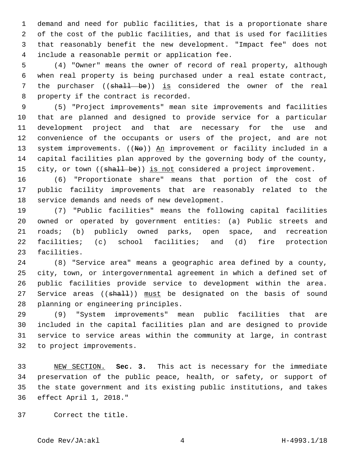demand and need for public facilities, that is a proportionate share of the cost of the public facilities, and that is used for facilities that reasonably benefit the new development. "Impact fee" does not 4 include a reasonable permit or application fee.

 (4) "Owner" means the owner of record of real property, although when real property is being purchased under a real estate contract, 7 the purchaser ((shall be)) is considered the owner of the real 8 property if the contract is recorded.

 (5) "Project improvements" mean site improvements and facilities that are planned and designed to provide service for a particular development project and that are necessary for the use and convenience of the occupants or users of the project, and are not 13 system improvements. ((No)) An improvement or facility included in a capital facilities plan approved by the governing body of the county, 15 city, or town ((shall be)) is not considered a project improvement.

 (6) "Proportionate share" means that portion of the cost of public facility improvements that are reasonably related to the 18 service demands and needs of new development.

 (7) "Public facilities" means the following capital facilities owned or operated by government entities: (a) Public streets and roads; (b) publicly owned parks, open space, and recreation facilities; (c) school facilities; and (d) fire protection 23 facilities.

 (8) "Service area" means a geographic area defined by a county, city, town, or intergovernmental agreement in which a defined set of public facilities provide service to development within the area. 27 Service areas ((shall)) must be designated on the basis of sound 28 planning or engineering principles.

 (9) "System improvements" mean public facilities that are included in the capital facilities plan and are designed to provide service to service areas within the community at large, in contrast 32 to project improvements.

 NEW SECTION. **Sec. 3.** This act is necessary for the immediate preservation of the public peace, health, or safety, or support of the state government and its existing public institutions, and takes effect April 1, 2018."

37 Correct the title.